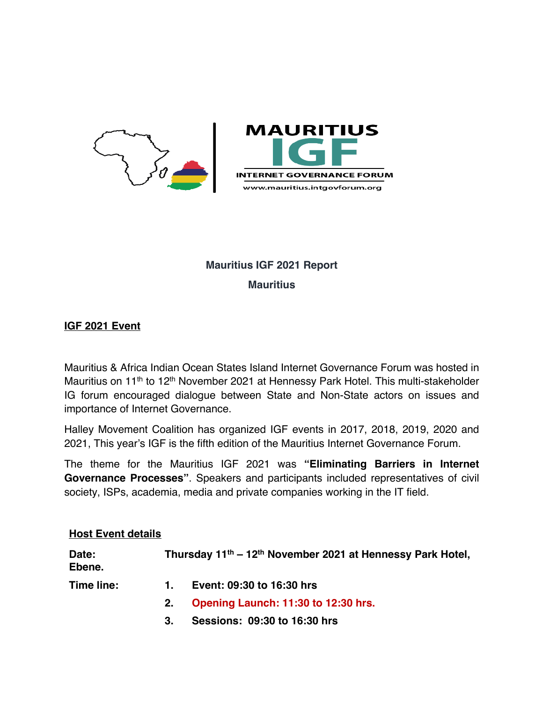

# **Mauritius IGF 2021 Report Mauritius**

## **IGF 2021 Event**

Mauritius & Africa Indian Ocean States Island Internet Governance Forum was hosted in Mauritius on 11<sup>th</sup> to 12<sup>th</sup> November 2021 at Hennessy Park Hotel. This multi-stakeholder IG forum encouraged dialogue between State and Non-State actors on issues and importance of Internet Governance.

Halley Movement Coalition has organized IGF events in 2017, 2018, 2019, 2020 and 2021, This year's IGF is the fifth edition of the Mauritius Internet Governance Forum.

The theme for the Mauritius IGF 2021 was **"Eliminating Barriers in Internet Governance Processes"**. Speakers and participants included representatives of civil society, ISPs, academia, media and private companies working in the IT field.

#### **Host Event details**

| Date:<br>Ebene. | Thursday 11 <sup>th</sup> – 12 <sup>th</sup> November 2021 at Hennessy Park Hotel, |                                     |
|-----------------|------------------------------------------------------------------------------------|-------------------------------------|
| Time line:      | 1.                                                                                 | Event: 09:30 to 16:30 hrs           |
|                 | 2.                                                                                 | Opening Launch: 11:30 to 12:30 hrs. |
|                 | 3.                                                                                 | Sessions: 09:30 to 16:30 hrs        |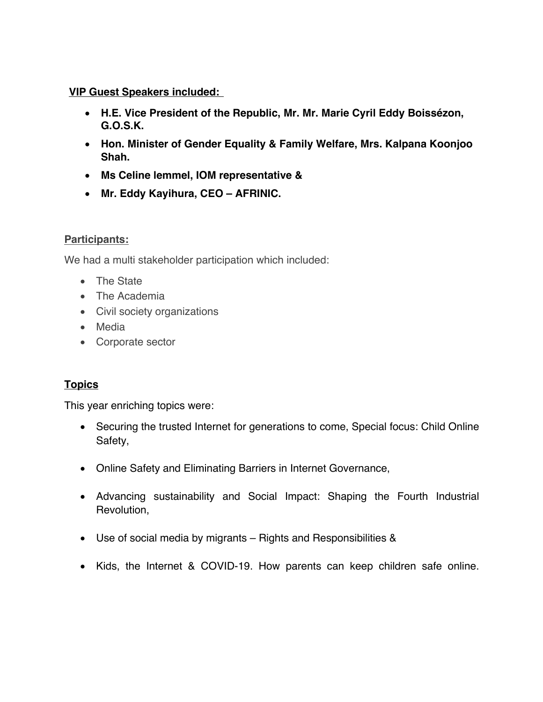## **VIP Guest Speakers included:**

- **H.E. Vice President of the Republic, Mr. Mr. Marie Cyril Eddy Boissézon, G.O.S.K.**
- **Hon. Minister of Gender Equality & Family Welfare, Mrs. Kalpana Koonjoo Shah.**
- **Ms Celine lemmel, IOM representative &**
- **Mr. Eddy Kayihura, CEO – AFRINIC.**

## **Participants:**

We had a multi stakeholder participation which included:

- The State
- The Academia
- Civil society organizations
- Media
- Corporate sector

# **Topics**

This year enriching topics were:

- Securing the trusted Internet for generations to come, Special focus: Child Online Safety,
- Online Safety and Eliminating Barriers in Internet Governance,
- Advancing sustainability and Social Impact: Shaping the Fourth Industrial Revolution,
- Use of social media by migrants Rights and Responsibilities &
- Kids, the Internet & COVID-19. How parents can keep children safe online.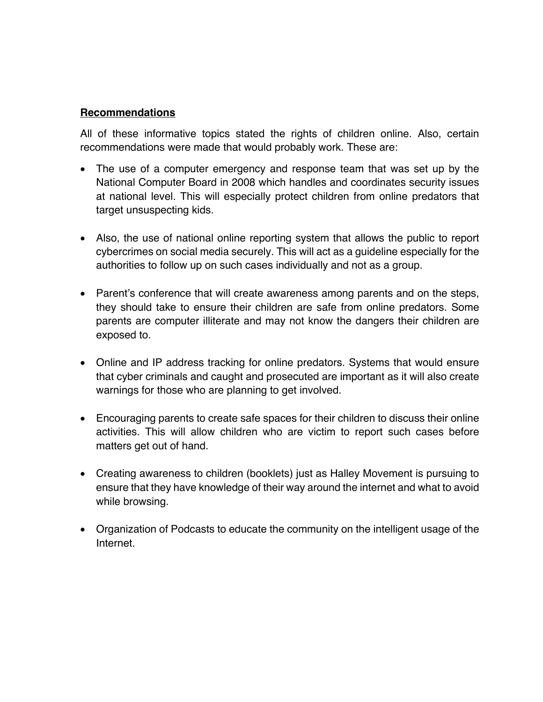#### **Recommendations**

All of these informative topics stated the rights of children online. Also, certain recommendations were made that would probably work. These are:

- The use of a computer emergency and response team that was set up by the National Computer Board in 2008 which handles and coordinates security issues at national level. This will especially protect children from online predators that target unsuspecting kids.
- Also, the use of national online reporting system that allows the public to report cybercrimes on social media securely. This will act as a guideline especially for the authorities to follow up on such cases individually and not as a group.
- Parent's conference that will create awareness among parents and on the steps, they should take to ensure their children are safe from online predators. Some parents are computer illiterate and may not know the dangers their children are exposed to.
- Online and IP address tracking for online predators. Systems that would ensure that cyber criminals and caught and prosecuted are important as it will also create warnings for those who are planning to get involved.
- Encouraging parents to create safe spaces for their children to discuss their online activities. This will allow children who are victim to report such cases before matters get out of hand.
- Creating awareness to children (booklets) just as Halley Movement is pursuing to ensure that they have knowledge of their way around the internet and what to avoid while browsing.
- Organization of Podcasts to educate the community on the intelligent usage of the **Internet**